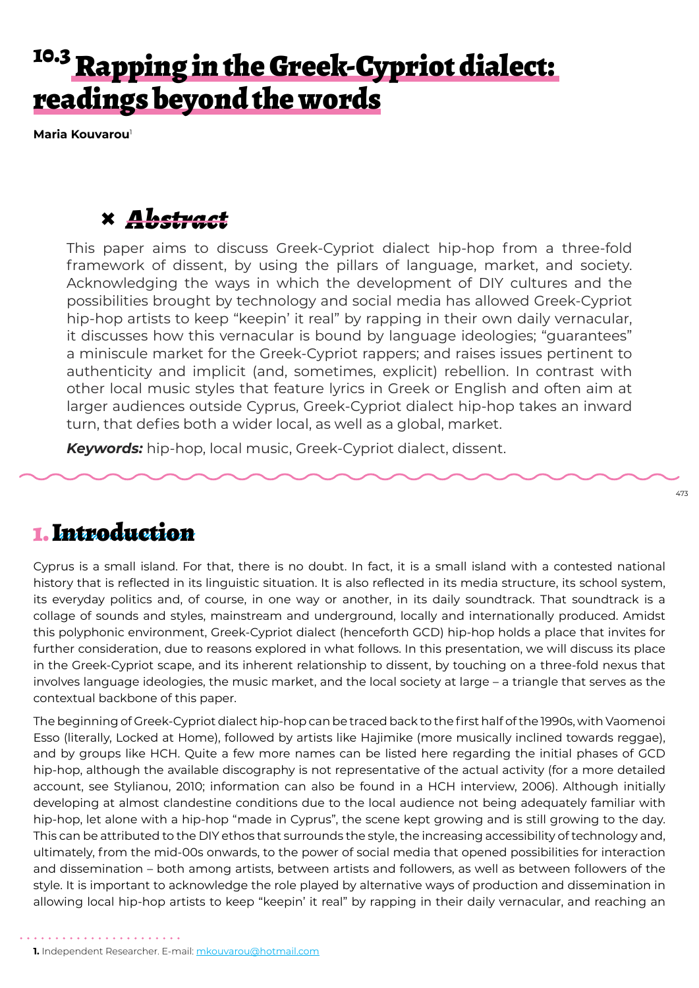# <sup>10.3</sup> Rapping in the Greek-Cypriot dialect: readings beyond the words

**Maria Kouvarou**<sup>1</sup>

### **×** *Abstract*

This paper aims to discuss Greek-Cypriot dialect hip-hop from a three-fold framework of dissent, by using the pillars of language, market, and society. Acknowledging the ways in which the development of DIY cultures and the possibilities brought by technology and social media has allowed Greek-Cypriot hip-hop artists to keep "keepin' it real" by rapping in their own daily vernacular, it discusses how this vernacular is bound by language ideologies; "guarantees" a miniscule market for the Greek-Cypriot rappers; and raises issues pertinent to authenticity and implicit (and, sometimes, explicit) rebellion. In contrast with other local music styles that feature lyrics in Greek or English and often aim at larger audiences outside Cyprus, Greek-Cypriot dialect hip-hop takes an inward turn, that defies both a wider local, as well as a global, market.

*Keywords:* hip-hop, local music, Greek-Cypriot dialect, dissent.

### 1. Introduction

Cyprus is a small island. For that, there is no doubt. In fact, it is a small island with a contested national history that is reflected in its linguistic situation. It is also reflected in its media structure, its school system, its everyday politics and, of course, in one way or another, in its daily soundtrack. That soundtrack is a collage of sounds and styles, mainstream and underground, locally and internationally produced. Amidst this polyphonic environment, Greek-Cypriot dialect (henceforth GCD) hip-hop holds a place that invites for further consideration, due to reasons explored in what follows. In this presentation, we will discuss its place in the Greek-Cypriot scape, and its inherent relationship to dissent, by touching on a three-fold nexus that involves language ideologies, the music market, and the local society at large – a triangle that serves as the contextual backbone of this paper.

The beginning of Greek-Cypriot dialect hip-hop can be traced back to the first half of the 1990s, with Vaomenoi Esso (literally, Locked at Home), followed by artists like Hajimike (more musically inclined towards reggae), and by groups like HCH. Quite a few more names can be listed here regarding the initial phases of GCD hip-hop, although the available discography is not representative of the actual activity (for a more detailed account, see Stylianou, 2010; information can also be found in a HCH interview, 2006). Although initially developing at almost clandestine conditions due to the local audience not being adequately familiar with hip-hop, let alone with a hip-hop "made in Cyprus", the scene kept growing and is still growing to the day. This can be attributed to the DIY ethos that surrounds the style, the increasing accessibility of technology and, ultimately, from the mid-00s onwards, to the power of social media that opened possibilities for interaction and dissemination – both among artists, between artists and followers, as well as between followers of the style. It is important to acknowledge the role played by alternative ways of production and dissemination in allowing local hip-hop artists to keep "keepin' it real" by rapping in their daily vernacular, and reaching an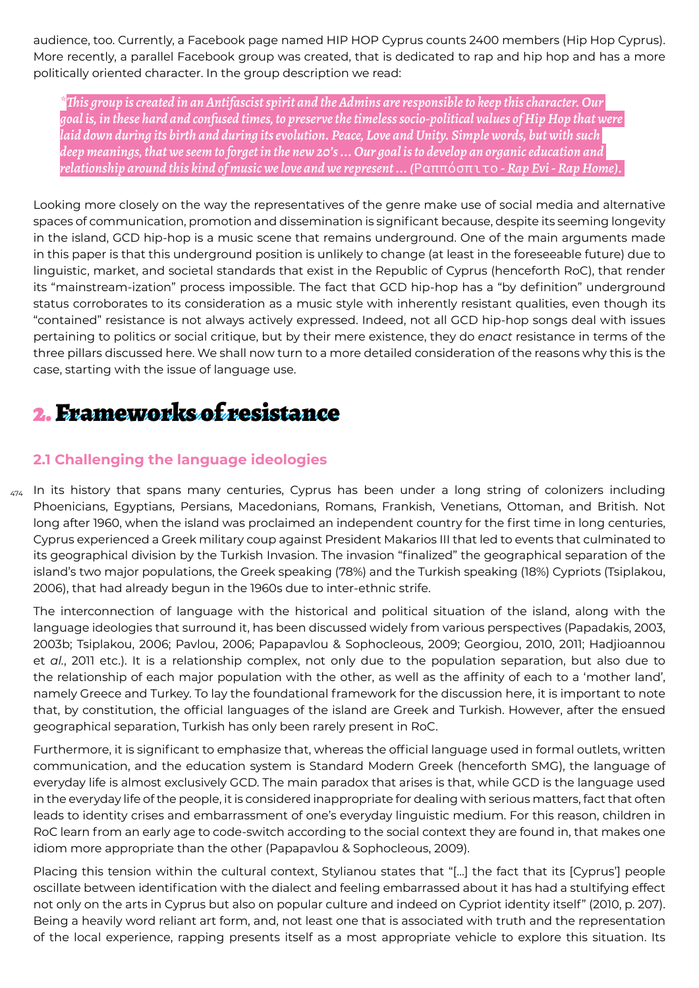audience, too. Currently, a Facebook page named HIP HOP Cyprus counts 2400 members (Hip Hop Cyprus). More recently, a parallel Facebook group was created, that is dedicated to rap and hip hop and has a more politically oriented character. In the group description we read:

*\*This group is created in an Antifascist spirit and the Admins are responsible to keep this character. Our goal is, in these hard and confused times, to preserve the timeless socio-political values of Hip Hop that were laid down during its birth and during its evolution. Peace, Love and Unity. Simple words, but with such deep meanings, that we seem to forget in the new 20's ... Our goal is to develop an organic education and relationship around this kind of music we love and we represent ... (*Ραππόσπιτο *- Rap Evi - Rap Home).* 

Looking more closely on the way the representatives of the genre make use of social media and alternative spaces of communication, promotion and dissemination is significant because, despite its seeming longevity in the island, GCD hip-hop is a music scene that remains underground. One of the main arguments made in this paper is that this underground position is unlikely to change (at least in the foreseeable future) due to linguistic, market, and societal standards that exist in the Republic of Cyprus (henceforth RoC), that render its "mainstream-ization" process impossible. The fact that GCD hip-hop has a "by definition" underground status corroborates to its consideration as a music style with inherently resistant qualities, even though its "contained" resistance is not always actively expressed. Indeed, not all GCD hip-hop songs deal with issues pertaining to politics or social critique, but by their mere existence, they do *enact* resistance in terms of the three pillars discussed here. We shall now turn to a more detailed consideration of the reasons why this is the case, starting with the issue of language use.

## 2. Frameworks of resistance

### **2.1 Challenging the language ideologies**

 $_{\rm 474}$  In its history that spans many centuries, Cyprus has been under a long string of colonizers including Phoenicians, Egyptians, Persians, Macedonians, Romans, Frankish, Venetians, Ottoman, and British. Not long after 1960, when the island was proclaimed an independent country for the first time in long centuries, Cyprus experienced a Greek military coup against President Makarios III that led to events that culminated to its geographical division by the Turkish Invasion. The invasion "finalized" the geographical separation of the island's two major populations, the Greek speaking (78%) and the Turkish speaking (18%) Cypriots (Tsiplakou, 2006), that had already begun in the 1960s due to inter-ethnic strife.

The interconnection of language with the historical and political situation of the island, along with the language ideologies that surround it, has been discussed widely from various perspectives (Papadakis, 2003, 2003b; Tsiplakou, 2006; Pavlou, 2006; Papapavlou & Sophocleous, 2009; Georgiou, 2010, 2011; Hadjioannou et *al.*, 2011 etc.). It is a relationship complex, not only due to the population separation, but also due to the relationship of each major population with the other, as well as the affinity of each to a 'mother land', namely Greece and Turkey. To lay the foundational framework for the discussion here, it is important to note that, by constitution, the official languages of the island are Greek and Turkish. However, after the ensued geographical separation, Turkish has only been rarely present in RoC.

Furthermore, it is significant to emphasize that, whereas the official language used in formal outlets, written communication, and the education system is Standard Modern Greek (henceforth SMG), the language of everyday life is almost exclusively GCD. The main paradox that arises is that, while GCD is the language used in the everyday life of the people, it is considered inappropriate for dealing with serious matters, fact that often leads to identity crises and embarrassment of one's everyday linguistic medium. For this reason, children in RoC learn from an early age to code-switch according to the social context they are found in, that makes one idiom more appropriate than the other (Papapavlou & Sophocleous, 2009).

Placing this tension within the cultural context, Stylianou states that "[…] the fact that its [Cyprus'] people oscillate between identification with the dialect and feeling embarrassed about it has had a stultifying effect not only on the arts in Cyprus but also on popular culture and indeed on Cypriot identity itself" (2010, p. 207). Being a heavily word reliant art form, and, not least one that is associated with truth and the representation of the local experience, rapping presents itself as a most appropriate vehicle to explore this situation. Its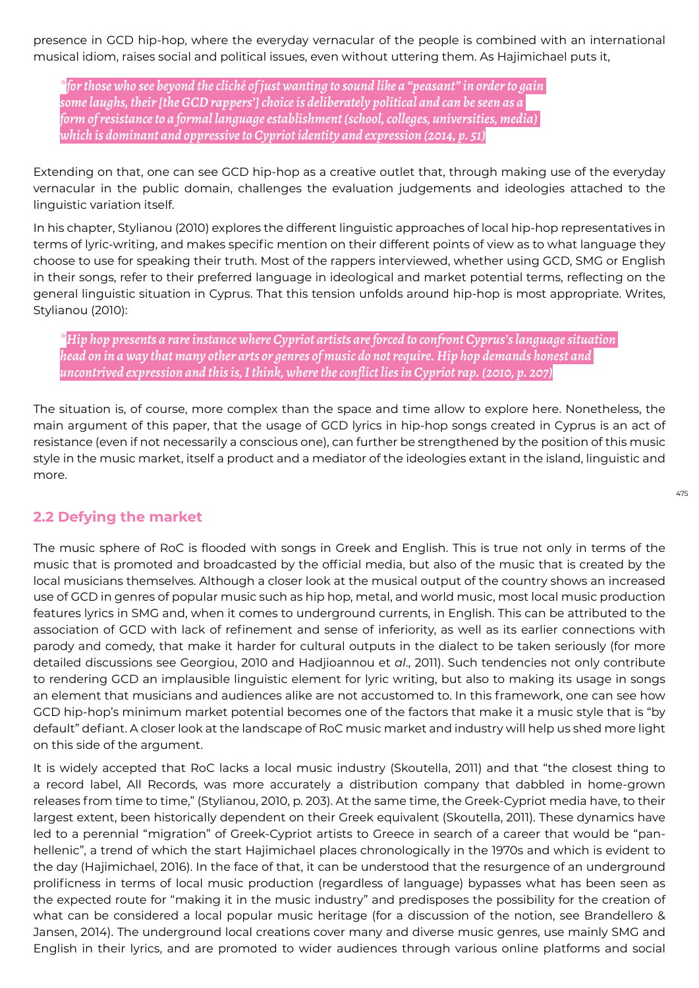presence in GCD hip-hop, where the everyday vernacular of the people is combined with an international musical idiom, raises social and political issues, even without uttering them. As Hajimichael puts it,

*\*for those who see beyond the cliché of just wanting to sound like a "peasant" in order to gain some laughs, their [the GCD rappers'] choice is deliberately political and can be seen as a form of resistance to a formal language establishment (school, colleges, universities, media) which is dominant and oppressive to Cypriot identity and expression (2014, p. 51)*

Extending on that, one can see GCD hip-hop as a creative outlet that, through making use of the everyday vernacular in the public domain, challenges the evaluation judgements and ideologies attached to the linguistic variation itself.

In his chapter, Stylianou (2010) explores the different linguistic approaches of local hip-hop representatives in terms of lyric-writing, and makes specific mention on their different points of view as to what language they choose to use for speaking their truth. Most of the rappers interviewed, whether using GCD, SMG or English in their songs, refer to their preferred language in ideological and market potential terms, reflecting on the general linguistic situation in Cyprus. That this tension unfolds around hip-hop is most appropriate. Writes, Stylianou (2010):

*\*Hip hop presents a rare instance where Cypriot artists are forced to confront Cyprus's language situation head on in a way that many other arts or genres of music do not require. Hip hop demands honest and uncontrived expression and this is, I think, where the conflict lies in Cypriot rap. (2010, p. 207)*

The situation is, of course, more complex than the space and time allow to explore here. Nonetheless, the main argument of this paper, that the usage of GCD lyrics in hip-hop songs created in Cyprus is an act of resistance (even if not necessarily a conscious one), can further be strengthened by the position of this music style in the music market, itself a product and a mediator of the ideologies extant in the island, linguistic and more.

#### **2.2 Defying the market**

The music sphere of RoC is flooded with songs in Greek and English. This is true not only in terms of the music that is promoted and broadcasted by the official media, but also of the music that is created by the local musicians themselves. Although a closer look at the musical output of the country shows an increased use of GCD in genres of popular music such as hip hop, metal, and world music, most local music production features lyrics in SMG and, when it comes to underground currents, in English. This can be attributed to the association of GCD with lack of refinement and sense of inferiority, as well as its earlier connections with parody and comedy, that make it harder for cultural outputs in the dialect to be taken seriously (for more detailed discussions see Georgiou, 2010 and Hadjioannou et *al*., 2011). Such tendencies not only contribute to rendering GCD an implausible linguistic element for lyric writing, but also to making its usage in songs an element that musicians and audiences alike are not accustomed to. In this framework, one can see how GCD hip-hop's minimum market potential becomes one of the factors that make it a music style that is "by default" defiant. A closer look at the landscape of RoC music market and industry will help us shed more light on this side of the argument.

It is widely accepted that RoC lacks a local music industry (Skoutella, 2011) and that "the closest thing to a record label, All Records, was more accurately a distribution company that dabbled in home-grown releases from time to time," (Stylianou, 2010, p. 203). At the same time, the Greek-Cypriot media have, to their largest extent, been historically dependent on their Greek equivalent (Skoutella, 2011). These dynamics have led to a perennial "migration" of Greek-Cypriot artists to Greece in search of a career that would be "panhellenic", a trend of which the start Hajimichael places chronologically in the 1970s and which is evident to the day (Hajimichael, 2016). In the face of that, it can be understood that the resurgence of an underground prolificness in terms of local music production (regardless of language) bypasses what has been seen as the expected route for "making it in the music industry" and predisposes the possibility for the creation of what can be considered a local popular music heritage (for a discussion of the notion, see Brandellero & Jansen, 2014). The underground local creations cover many and diverse music genres, use mainly SMG and English in their lyrics, and are promoted to wider audiences through various online platforms and social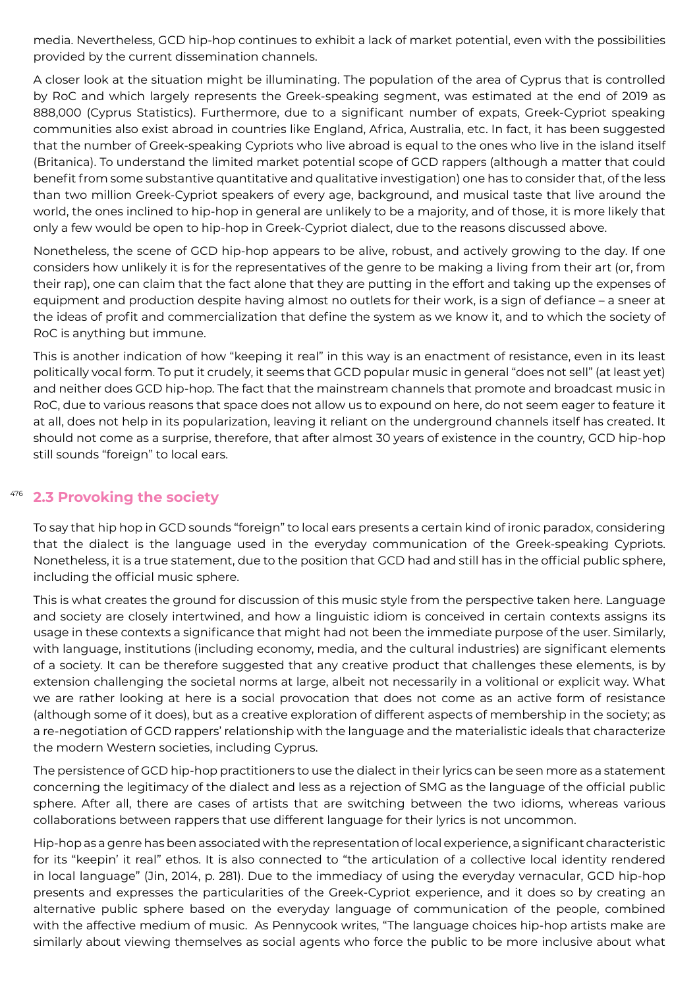media. Nevertheless, GCD hip-hop continues to exhibit a lack of market potential, even with the possibilities provided by the current dissemination channels.

A closer look at the situation might be illuminating. The population of the area of Cyprus that is controlled by RoC and which largely represents the Greek-speaking segment, was estimated at the end of 2019 as 888,000 (Cyprus Statistics). Furthermore, due to a significant number of expats, Greek-Cypriot speaking communities also exist abroad in countries like England, Africa, Australia, etc. In fact, it has been suggested that the number of Greek-speaking Cypriots who live abroad is equal to the ones who live in the island itself (Britanica). To understand the limited market potential scope of GCD rappers (although a matter that could benefit from some substantive quantitative and qualitative investigation) one has to consider that, of the less than two million Greek-Cypriot speakers of every age, background, and musical taste that live around the world, the ones inclined to hip-hop in general are unlikely to be a majority, and of those, it is more likely that only a few would be open to hip-hop in Greek-Cypriot dialect, due to the reasons discussed above.

Nonetheless, the scene of GCD hip-hop appears to be alive, robust, and actively growing to the day. If one considers how unlikely it is for the representatives of the genre to be making a living from their art (or, from their rap), one can claim that the fact alone that they are putting in the effort and taking up the expenses of equipment and production despite having almost no outlets for their work, is a sign of defiance – a sneer at the ideas of profit and commercialization that define the system as we know it, and to which the society of RoC is anything but immune.

This is another indication of how "keeping it real" in this way is an enactment of resistance, even in its least politically vocal form. To put it crudely, it seems that GCD popular music in general "does not sell" (at least yet) and neither does GCD hip-hop. The fact that the mainstream channels that promote and broadcast music in RoC, due to various reasons that space does not allow us to expound on here, do not seem eager to feature it at all, does not help in its popularization, leaving it reliant on the underground channels itself has created. It should not come as a surprise, therefore, that after almost 30 years of existence in the country, GCD hip-hop still sounds "foreign" to local ears.

#### 476 **2.3 Provoking the society**

To say that hip hop in GCD sounds "foreign" to local ears presents a certain kind of ironic paradox, considering that the dialect is the language used in the everyday communication of the Greek-speaking Cypriots. Nonetheless, it is a true statement, due to the position that GCD had and still has in the official public sphere, including the official music sphere.

This is what creates the ground for discussion of this music style from the perspective taken here. Language and society are closely intertwined, and how a linguistic idiom is conceived in certain contexts assigns its usage in these contexts a significance that might had not been the immediate purpose of the user. Similarly, with language, institutions (including economy, media, and the cultural industries) are significant elements of a society. It can be therefore suggested that any creative product that challenges these elements, is by extension challenging the societal norms at large, albeit not necessarily in a volitional or explicit way. What we are rather looking at here is a social provocation that does not come as an active form of resistance (although some of it does), but as a creative exploration of different aspects of membership in the society; as a re-negotiation of GCD rappers' relationship with the language and the materialistic ideals that characterize the modern Western societies, including Cyprus.

The persistence of GCD hip-hop practitioners to use the dialect in their lyrics can be seen more as a statement concerning the legitimacy of the dialect and less as a rejection of SMG as the language of the official public sphere. After all, there are cases of artists that are switching between the two idioms, whereas various collaborations between rappers that use different language for their lyrics is not uncommon.

Hip-hop as a genre has been associated with the representation of local experience, a significant characteristic for its "keepin' it real" ethos. It is also connected to "the articulation of a collective local identity rendered in local language" (Jin, 2014, p. 281). Due to the immediacy of using the everyday vernacular, GCD hip-hop presents and expresses the particularities of the Greek-Cypriot experience, and it does so by creating an alternative public sphere based on the everyday language of communication of the people, combined with the affective medium of music. As Pennycook writes, "The language choices hip-hop artists make are similarly about viewing themselves as social agents who force the public to be more inclusive about what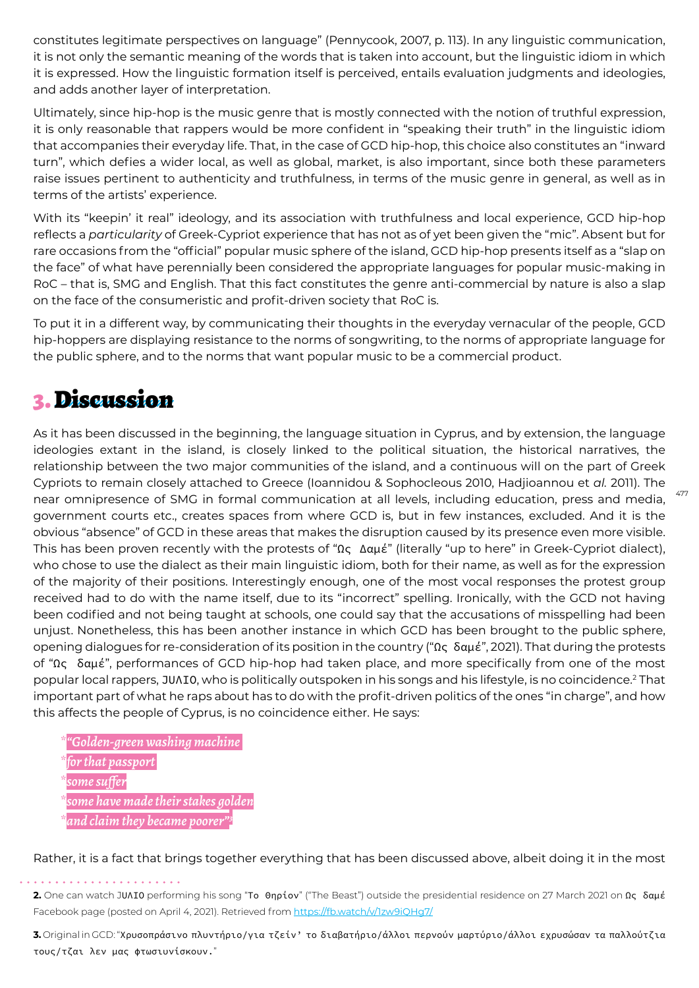constitutes legitimate perspectives on language" (Pennycook, 2007, p. 113). In any linguistic communication, it is not only the semantic meaning of the words that is taken into account, but the linguistic idiom in which it is expressed. How the linguistic formation itself is perceived, entails evaluation judgments and ideologies, and adds another layer of interpretation.

Ultimately, since hip-hop is the music genre that is mostly connected with the notion of truthful expression, it is only reasonable that rappers would be more confident in "speaking their truth" in the linguistic idiom that accompanies their everyday life. That, in the case of GCD hip-hop, this choice also constitutes an "inward turn", which defies a wider local, as well as global, market, is also important, since both these parameters raise issues pertinent to authenticity and truthfulness, in terms of the music genre in general, as well as in terms of the artists' experience.

With its "keepin' it real" ideology, and its association with truthfulness and local experience, GCD hip-hop reflects a *particularity* of Greek-Cypriot experience that has not as of yet been given the "mic". Absent but for rare occasions from the "official" popular music sphere of the island, GCD hip-hop presents itself as a "slap on the face" of what have perennially been considered the appropriate languages for popular music-making in RoC – that is, SMG and English. That this fact constitutes the genre anti-commercial by nature is also a slap on the face of the consumeristic and profit-driven society that RoC is.

To put it in a different way, by communicating their thoughts in the everyday vernacular of the people, GCD hip-hoppers are displaying resistance to the norms of songwriting, to the norms of appropriate language for the public sphere, and to the norms that want popular music to be a commercial product.

## 3. Discussion

As it has been discussed in the beginning, the language situation in Cyprus, and by extension, the language ideologies extant in the island, is closely linked to the political situation, the historical narratives, the relationship between the two major communities of the island, and a continuous will on the part of Greek Cypriots to remain closely attached to Greece (Ioannidou & Sophocleous 2010, Hadjioannou et *al.* 2011). The near omnipresence of SMG in formal communication at all levels, including education, press and media, government courts etc., creates spaces from where GCD is, but in few instances, excluded. And it is the obvious "absence" of GCD in these areas that makes the disruption caused by its presence even more visible. This has been proven recently with the protests of "Ως Δαμέ" (literally "up to here" in Greek-Cypriot dialect), who chose to use the dialect as their main linguistic idiom, both for their name, as well as for the expression of the majority of their positions. Interestingly enough, one of the most vocal responses the protest group received had to do with the name itself, due to its "incorrect" spelling. Ironically, with the GCD not having been codified and not being taught at schools, one could say that the accusations of misspelling had been unjust. Nonetheless, this has been another instance in which GCD has been brought to the public sphere, opening dialogues for re-consideration of its position in the country ("Ως δαμέ", 2021). That during the protests of "Ως δαμέ", performances of GCD hip-hop had taken place, and more specifically from one of the most popular local rappers, JUΛI0, who is politically outspoken in his songs and his lifestyle, is no coincidence.<sup>2</sup> That important part of what he raps about has to do with the profit-driven politics of the ones "in charge", and how this affects the people of Cyprus, is no coincidence either. He says:

477

- *\*"Golden-green washing machine*
- *\*for that passport*
- *\*some suffer*

*\*some have made their stakes golden*

 $\overline{a}$ *nd claim they became poore* 

Rather, it is a fact that brings together everything that has been discussed above, albeit doing it in the most

**3.** Original in GCD: "Χρυσοπράσινο πλυντήριο/για τζείν' το διαβατήριο/άλλοι περνούν μαρτύριο/άλλοι εχρυσώσαν τα παλλούτζια τους/τζαι λεν μας φτωσιυνίσκουν."

**<sup>2.</sup>** One can watch JUΛIO performing his song "Το Θηρίον" ("The Beast") outside the presidential residence on 27 March 2021 on Ως δαμέ Facebook page (posted on April 4, 2021). Retrieved from https://fb.watch/v/1zw9iQHg7/